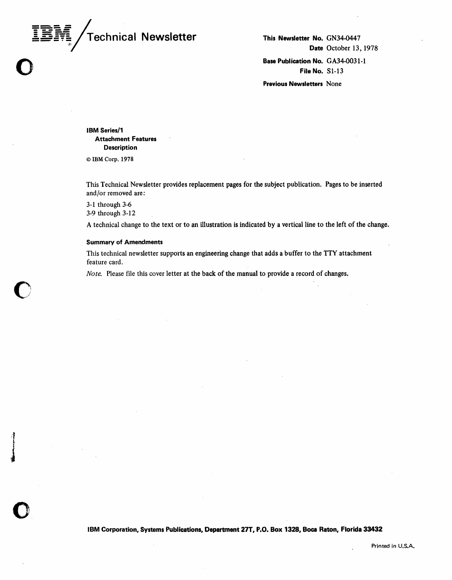# Technical Newsletter

This Newsletter No. GN34·0447 Date October 13, 1978

Base Publication No. GA34-0031-1<br>
File No. SI-13<br>
Publication No. GA34-0031-1

Previous Newsletters None

IBM Series/1 Attachment Features Description

© IBM Corp. 1978

This Technical Newsletter provides replacement pages for the subject publication. Pages to be inserted and/or removed are:

3-1 through 3-6 3-9 through 3-12

 $\bullet$ 

**1999**<br>1999 - Paul Britain, paul antara antzena (h. 1908)<br>1990 - Paul Britain, paul Britaine, poeta eta poeta (h. 1908)<br>1990 - Paul Britain, poeta eta poeta (h. 1908)

o

A technical change to the text or to an illustration is indicated by a vertical line to the left of the change.

#### Summary of Amendments

This technical newsletter supports an engineering change that adds a buffer to the TTY attachment feature card.

*Note.* Please file this cover letter at the back of the manual to provide a record of changes.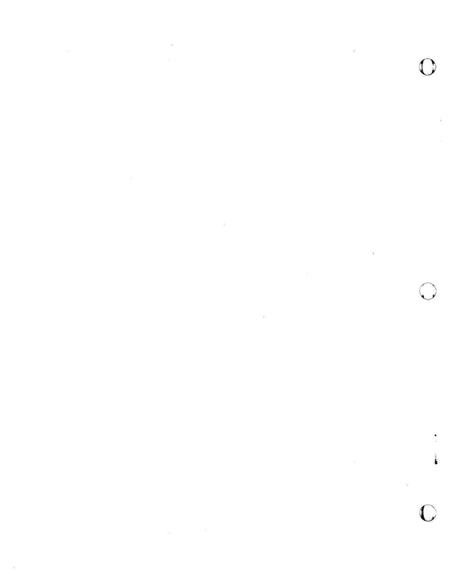$\label{eq:2.1} \mathcal{L}(\mathcal{L}^{\text{max}}_{\mathcal{L}}(\mathcal{L}^{\text{max}}_{\mathcal{L}}(\mathcal{L}^{\text{max}}_{\mathcal{L}}(\mathcal{L}^{\text{max}}_{\mathcal{L}^{\text{max}}_{\mathcal{L}}(\mathcal{L}^{\text{max}}_{\mathcal{L}^{\text{max}}_{\mathcal{L}^{\text{max}}_{\mathcal{L}^{\text{max}}_{\mathcal{L}^{\text{max}}_{\mathcal{L}^{\text{max}}_{\mathcal{L}^{\text{max}}_{\mathcal{L}^{\text{max}}_{\mathcal{L}^{\text{max}}$  $\label{eq:2.1} \frac{1}{\sqrt{2}}\int_{\mathbb{R}^3}\frac{1}{\sqrt{2}}\left(\frac{1}{\sqrt{2}}\right)^2\frac{1}{\sqrt{2}}\left(\frac{1}{\sqrt{2}}\right)^2\frac{1}{\sqrt{2}}\left(\frac{1}{\sqrt{2}}\right)^2\frac{1}{\sqrt{2}}\left(\frac{1}{\sqrt{2}}\right)^2\frac{1}{\sqrt{2}}\left(\frac{1}{\sqrt{2}}\right)^2\frac{1}{\sqrt{2}}\frac{1}{\sqrt{2}}\frac{1}{\sqrt{2}}\frac{1}{\sqrt{2}}\frac{1}{\sqrt{2}}\frac{1}{\sqrt{2}}$ 

 $\label{eq:1} \frac{1}{2} \sum_{i=1}^n \frac{1}{2} \sum_{j=1}^n \frac{1}{2} \sum_{j=1}^n \frac{1}{2} \sum_{j=1}^n \frac{1}{2} \sum_{j=1}^n \frac{1}{2} \sum_{j=1}^n \frac{1}{2} \sum_{j=1}^n \frac{1}{2} \sum_{j=1}^n \frac{1}{2} \sum_{j=1}^n \frac{1}{2} \sum_{j=1}^n \frac{1}{2} \sum_{j=1}^n \frac{1}{2} \sum_{j=1}^n \frac{1}{2} \sum_{j=1}^n \frac{1}{$  $\label{eq:2.1} \frac{1}{\sqrt{2\pi}}\int_{0}^{\infty}\frac{1}{\sqrt{2\pi}}\left(\frac{1}{\sqrt{2\pi}}\right)^{2\alpha} \frac{1}{\sqrt{2\pi}}\int_{0}^{\infty}\frac{1}{\sqrt{2\pi}}\left(\frac{1}{\sqrt{2\pi}}\right)^{\alpha} \frac{1}{\sqrt{2\pi}}\frac{1}{\sqrt{2\pi}}\int_{0}^{\infty}\frac{1}{\sqrt{2\pi}}\frac{1}{\sqrt{2\pi}}\frac{1}{\sqrt{2\pi}}\frac{1}{\sqrt{2\pi}}\frac{1}{\sqrt{2\pi}}\frac{1}{\sqrt{2\$  $\label{eq:2.1} \mathcal{L}(\mathcal{L}^{\text{max}}_{\mathcal{L}}(\mathcal{L}^{\text{max}}_{\mathcal{L}}),\mathcal{L}^{\text{max}}_{\mathcal{L}}(\mathcal{L}^{\text{max}}_{\mathcal{L}}))$ 

 $\label{eq:2.1} \mathcal{L}(\mathcal{L}^{\text{max}}_{\mathcal{L}}(\mathcal{L}^{\text{max}}_{\mathcal{L}})) \leq \mathcal{L}(\mathcal{L}^{\text{max}}_{\mathcal{L}}(\mathcal{L}^{\text{max}}_{\mathcal{L}}))$ 

 $\overline{\phantom{a}}$ 

 $\label{eq:2.1} \frac{1}{\sqrt{2}}\int_{0}^{\infty}\frac{1}{\sqrt{2\pi}}\left(\frac{1}{\sqrt{2}}\right)^{2}d\mu_{\rm{max}}\left(\frac{1}{\sqrt{2}}\right).$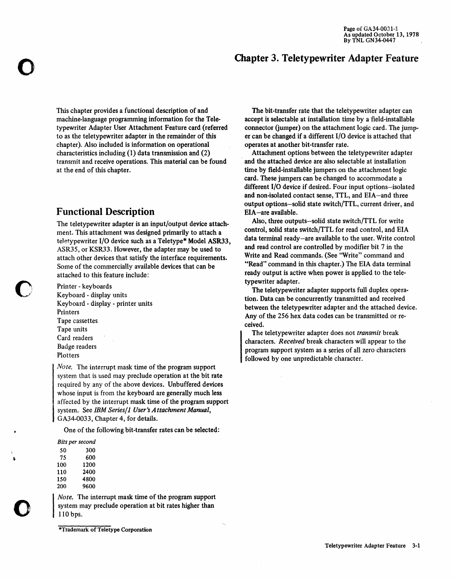#### Page of GA34-0031-1 As updated October 13, 1978 By TNL GN34-0447

# **Chapter 3. Teletypewriter Adapter Feature**

This chapter provides a functional description of and machine-language programming information for the Teletypewriter Adapter User Attachment Feature card (referred to as the teletypewriter adapter in the remainder of this chapter). Also included is information on operational characteristics including (1) data transmission and (2) transmit and receive operations. This material can be found at the end of this chapter.

# **Functional Description**

o

o

o

The teletypewriter adapter is an input/output device attachment. This attachment was designed primarily to attach a teletypewriter I/O device such as a Teletype\* Model ASR33, ASR35, or KSR33. However, the adapter may be used to attach other devices that satisfy the interface requirements. Some of the commercially available devices that can be attached to this feature include:

Printer - keyboards Keyboard - display units Keyboard - display - printer units Printers Tape cassettes Tape units Card readers Badge readers Plotters

*Note.* The interrupt mask time of the program support system that is used may preclude operation at the bit rate required by any of the above devices. Unbuffered devices whose input is from the keyboard are generally much less affected by the interrupt mask time of the program support system. See *IBM Series/1 User's Attachment Manual,*  GA34-0033, Chapter 4, for details.

One of the following bit-transfer rates can be selected:

|     | Bits per second |
|-----|-----------------|
| 50  | 300             |
| 75  | 600             |
| 100 | 1200            |
| 110 | 2400            |
| 150 | 4800            |
| 200 | 9600            |

*Note.* The interrupt mask time of the program support system may preclude operation at bit rates higher than 110 bps.

\*Trademark of Teletype Corporation

The bit-transfer rate that the teletypewriter adapter can accept is selectable at installation time by a field-installable connector (jumper) on the attachment logic card. The jumper can be changed if a different I/O device is attached that operates at another bit-transfer rate.

Attachment options between the teletypewriter adapter . and the attached device are also selectable at installation time by field-installable jumpers on the attachment logic card. These jumpers can be changed to accommodate a different I/O device if desired. Four input options-isolated and non-isolated contact sense, TTL, and EIA-and three output options-solid state switch/TTL, current driver, and EIA-are available.

Also, three outputs-solid state switch/TTL for write control, solid state switch/TTL for read control, and EIA data terminal ready-are available to the user. Write control and read control are controlled by modifier bit 7 in the Write and Read commands. (See "Write" command and "Read" command in this chapter.) The EIA data terminal ready output is active when power is applied to the teletypewriter adapter.

The teletypewriter adapter supports full duplex operation. Data can be concurrently transmitted and received between the teletypewriter adapter and the attached device. Any of the 256 hex data codes can be transmitted or received.

The teletypewriter adapter does not *transmit* break characters .. *Received* break characters will appear to the program support system as a series of all zero characters followed by one unpredictable character.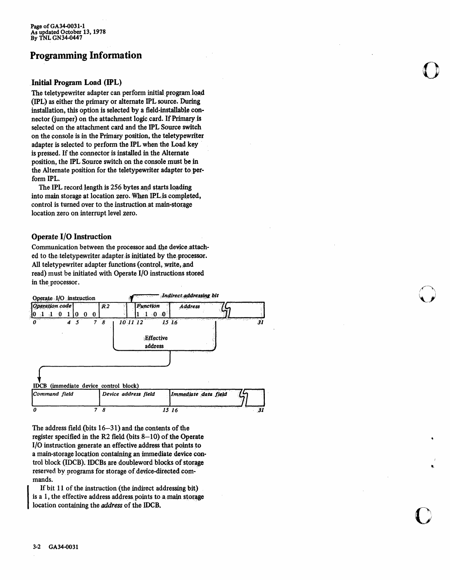# **Programming Information**

# **Initial Program Load (IPL)**

The teletypewriter adapter can perform initial program load (IPL) as either the primary or alternate IPL source. During installation, this option is selected by a field-installable connector (jumper) on the attachment logic card. If Primary is selected on the attachment card and the IPL Source switch on the console is in the Primary position, the teletypewriter adapter is selected to perform the IPL when the Load key is pressed. If the connector is installed in the Alternate position, the IPL Source switch on the console must be in the Alternate position for the teletypewriter adapter to perform IPL.

The IPL record length is 256 bytes and starts loading into main storage at location zero. When IPL is completed, control is turned over to the instruction at main-storage location zero on interrupt level zero.

### **Operate I/O Instruction**

Communication between the processor and the device attached to the teletypewriter adapter is initiated by the processor. All teletypewriter adapter functions (control, write, and read) must be initiated with Operate I/O instructions stored in the processor.



The address field (bits  $16-31$ ) and the contents of the register specified in the R2 field (bits 8-10) of the Operate I/O instruction generate an effective address that points to a main-storage location containing an immediate device control block (IDCB). IDCBs are doubleword blocks of storage reserved by programs for storage of device-directed commands.

If bit 11 of the instruction (the indirect addressing bit) is a 1, the effective address address points to a main storage location containing the *address* of the IDCB.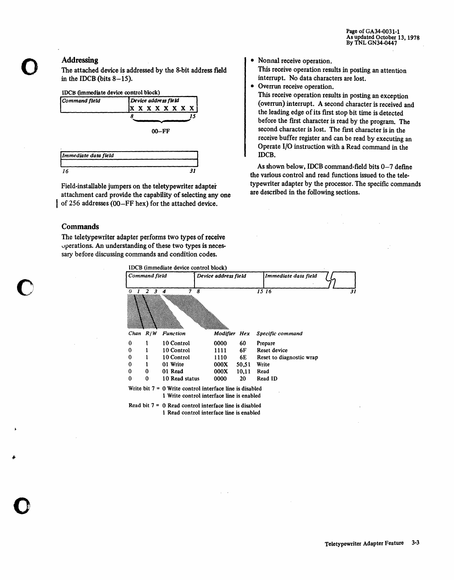# Addressing

o

o

o

The attached device is addressed by the 8-bit address field in the IDCB (bits  $8-15$ ).

#### IDCB (immediate device control block)



16

Field-installable jumpers on the teletypewriter adapter attachment card provide the capability of selecting anyone of 256 addresses (00-FF hex) for the attached device.

31

# Commands

The teletypewriter adapter performs two types of receive vperations. An understanding of these two types is necessary before discussing commands and condition codes.

• Nonnal receive operation.

 $\bar{z}$ 

This receive operation results in posting an attention interrupt. No data characters are lost.

• Overrun receive operation. This receive operation results in posting an exception (overrun) interrupt. A second character is received and the leading edge of its first stop bit time is detected before the first character is read by the program. The second character is lost. The first character is in the receive buffer register and can be read by executing an Operate I/O instruction with a Read command in the IDCB.

As shown below, IDCB command-field bits 0-7 define the various control and read functions issued to the teletypewriter adapter by the processor. The specific commands are described in the following sections.

|      | Command field |                 | Device address field                                                                                    |       |       | Immediate data field     |  |
|------|---------------|-----------------|---------------------------------------------------------------------------------------------------------|-------|-------|--------------------------|--|
| 0    | 2<br>3        | 7<br>4          | 8                                                                                                       |       |       | 15 16                    |  |
| Chan | R/W           | <b>Function</b> | Modifier Hex                                                                                            |       |       | Specific command         |  |
| 0    |               | 10 Control      | 0000                                                                                                    | 60    |       | Prepare                  |  |
| 0    |               | 10 Control      | 1111                                                                                                    | 6F    |       | <b>Reset device</b>      |  |
| 0    |               | 10 Control      | 1110                                                                                                    | 6E    |       | Reset to diagnostic wrap |  |
| 0    |               | 01 Write        | 000X                                                                                                    | 50.51 | Write |                          |  |
| 0    | 0             | 01 Read         | 000X                                                                                                    | 10,11 | Read  |                          |  |
| 0    | 0             | 10 Read status  | 0000                                                                                                    | 20    |       | Read ID                  |  |
|      |               |                 | Write bit $7 = 0$ Write control interface line is disabled<br>1 Write control interface line is enabled |       |       |                          |  |
|      |               |                 | Read bit $7 = 0$ Read control interface line is disabled<br>1 Read control interface line is enabled    |       |       |                          |  |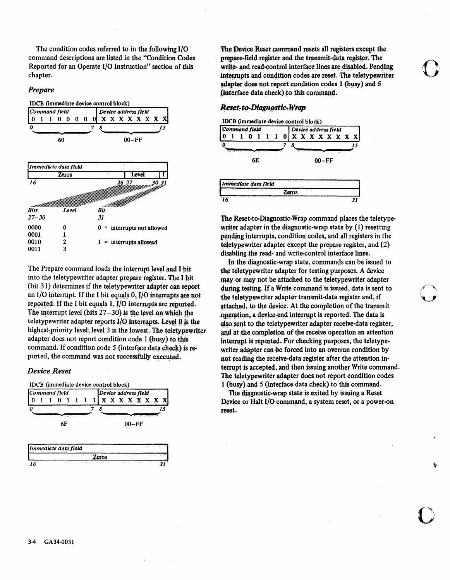The condition codes referred to in the following I/O command descriptions are listed in the "Condition Codes Reported for an Operate I/O Instruction" section of this chapter.

#### **Prepare**



The Prepare command loads the interrupt level and I bit into the teletypewriter adapter prepare register. The I bit (bit 31) determines if the teletypewriter adapter can report an I/O interrupt. If the I bit equals 0, I/O interrupts are not reported. If the I bit equals  $1, 1/O$  interrupts are reported. The interrupt level (bits  $27-30$ ) is the level on which the teletypewriter adapter reports  $I/O$  interrupts. Level  $O$  is the highest-priority level; level 3 is the lowest. The teletypewriter adapter does not report condition code 1 (busy) to this command. If condition code 5 (interface data check) is reported, the command was not successfully executed.

#### **Device Reset**



The Device Reset command resets all registers except the prepare-field register and the transmit-data register. The write- and read-control interface lines are disabled. Pending interrupts and condition codes are reset. The teletypewriter adapter does not report condition codes 1 (busy) and 5 (interface data check) to this command.

#### **Reset-to-Diagnostic-Wrap**



The Reset-to-Diagnostic-Wrap command places the teletypewriter adapter in the diagnostic-wrap state by  $(1)$  resetting pending interrupts, condition codes, and all registers in the teletypewriter adapter except the prepare register, and (2) disabling the read- and write-control interface lines.

In the diagnostic-wrap state, commands can be issued to the teletypewriter adapter for testing purposes. A device may or may not be attached to the teletypewriter adapter during testing. If a Write command is issued, data is sent to the teletypewriter adapter transmit-data register and, if attached, to the device. At the completion of the transmit operation, a device-end interrupt is reported. The data is also sent to the teletypewriter adapter receive-data register, and at the completion of the receive operation an attention interrupt is reported. For checking purposes, the teletypewriter adapter can be forced into an overrun condition by not reading the receive-data register after the attention interrupt is accepted, and then issuing another Write command. The teletypewriter adapter does not report condition codes 1 (busy) and 5 (interface data check) to this command.

The diagnostic-wrap state is exited by issuing a Reset Device or Halt I/O command, a system reset, or a power-on reset.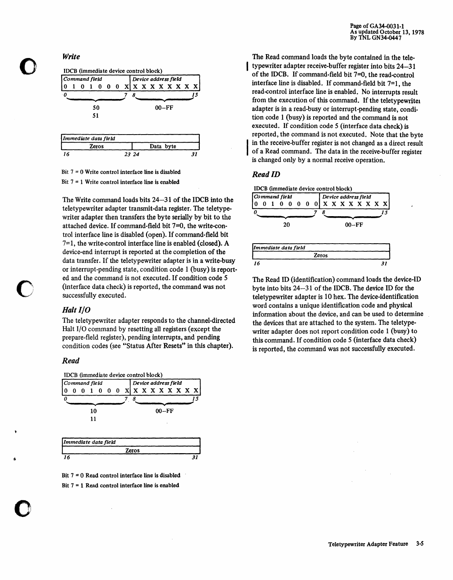# o

*Write* 

|  |               |          |  | IDCB (immediate device control block) |  |       |  |  |
|--|---------------|----------|--|---------------------------------------|--|-------|--|--|
|  | Command field |          |  | Device address field                  |  |       |  |  |
|  |               |          |  | 0 1 0 0 0 x x x x x x x x x x         |  |       |  |  |
|  |               |          |  | 8                                     |  |       |  |  |
|  |               | 50<br>51 |  |                                       |  | 00-FF |  |  |

|    | Immediate data field |       |           |  |
|----|----------------------|-------|-----------|--|
|    | Zeros                |       | Data byte |  |
| 16 |                      | 23 24 |           |  |

Bit  $7 = 0$  Write control interface line is disabled

Bit  $7 = 1$  Write control interface line is enabled

The Write command loads bits 24-31 of the IDCB into the teletypewriter adapter transmit-data register. The teletypewriter adapter then transfers the byte serially by bit to the attached device. If command-field bit 7=0, the write-control interface line is disabled (open). If command-field bit 7=1, the write-control interface line is enabled (closed). A device-end interrupt is reported at the completion of the data transfer. If the teletypewriter adapter is in a write-busy or interrupt-pending state, condition code 1 (busy) is reported and the command is not executed. If condition code 5 (interface data check) is reported, the command was not successfully executed.

# *Halt I/O*

c

o

The teletypewriter adapter responds to the channel-directed Halt I/O command by resetting all registers (except the prepare-field register), pending interrupts, and pending condition codes (see "Status After Resets" in this chapter).

# *Read*



Bit  $7 = 0$  Read control interface line is disabled Bit  $7 = 1$  Read control interface line is enabled

The Read command loads the byte contained in the teletypewriter adapter receive-buffer register into bits 24-31 of the IDCB. If command-field bit 7=0, the read-control interface line is disabled. If command-field bit 7=1, the read-control interface line is enabled. No interrupts result from the execution of this command. If the teletypewritel adapter is in a read-busy or interrupt-pending state, condition code 1 (busy) is reported and the command is not executed. If condition code 5 (interface data check) is reported, the command is not executed. Note that the byte in the receive-buffer register is not changed as a direct result of a Read command. The data in the receive-buffer register is changed only by a normal receive operation.

# *ReadlD*



The Read 10 (identification) command loads the device-ID byte into bits  $24-31$  of the IDCB. The device ID for the teletypewriter adapter is 10 hex. The device-identification word contains a unique identification code and physical information about the device, and can be used to determine the devices that are attached to the system. The teletypewriter adapter does not report condition code 1 (busy) to this command. If condition code 5 (interface data check) is reported, the command was not successfully executed.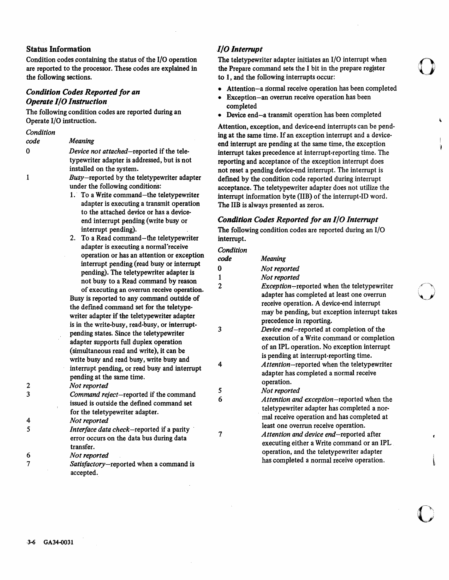# Status Information

Condition codes containing the status of the I/O operation are reported to the processor. These codes are explained in the following sections.

## *Condition Codes Reported for an Operate I/O Instruction.*

The following condition codes are reported during an Operate I/O instruction.

| Condition |                   |
|-----------|-------------------|
| code      | <b>Meaning</b>    |
| 0         | Device not attac. |
|           | tynowriter adont  |

*hed*—reported if the teletypewriter adapter is addressed, but is not installed on the system.

1 Busy-reported by the teletypewriter adapter under the following conditions:

- 1.. To a Write command-the teletypewriter adapter is executing a transmit operation to the attached device or has a deviceend interrupt pending (write busy or interrupt pending).
- 2. To a Read command-the teletypewriter adapter is executing a normal receive operation or has an attention or exception interrupt pending (read busy or interrupt p.ending). The teletypewriter adapter is not busy to a Read command by reason of executing an overrun receive operation.

Busy is reported to any command outside of the defined command set for the teletypewriter adapter if the teletypewriter adapter is in the write-busy, read-busy, or mterruptpending states. Since the teletypewriter adapter supports full duplex operation (simultaneous read and write), it can be write busy and read busy, write busy and interrupt pending, or read busy and interrupt pending at the same time. 2 *Not reported* 

*3 Command* reject-reported if the command issued is outside the defined command set for the teletypewriter adapter.

- *4 Not reported*
- *5 Interface data check-reported* if a parity . error occurs on the data bus during data transfer.
- 6 *Not reported*
- 7 *Satisfactory-reported* when a command is accepted.

# *1/0 Interrupt*

The teletypewriter adapter initiates an  $I/O$  interrupt when the Prepare command sets the I bit in the prepare register to 1, and the following interrupts occur:

- Attention-a normal receive operation has been completed<br>• Exception-an overrun receive operation has been
- Exception-an overrun receive operation has been completed
- Device end-a transmit operation has been completed

Attention, exception, and device-end interrupts can be pending at the same time. If an exception interrupt and a deviceend interrupt are pending at the same time, the exception interrupt takes precedence at interrupt-reporting time. The reporting and acceptance of the exception interrupt does not reset a pending device-end interrupt. The interrupt is defmed by the condition code reported during interrupt acceptance. The teletypewriter adapter does not utilize the interrupt information byte (lIB) of the interrupt-ID word. The IIB is always presented as zeros.

### *Condition Codes Reported for an I/O Interrupt*

The following condition codes are reported during an I/O interrupt.

#### *Condition*

| code           | <b>Meaning</b>                                                                                                                                                                                                             |   |
|----------------|----------------------------------------------------------------------------------------------------------------------------------------------------------------------------------------------------------------------------|---|
| 0              | Not reported                                                                                                                                                                                                               |   |
| 1              | Not reported                                                                                                                                                                                                               |   |
| $\overline{2}$ | <i>Exception</i> -reported when the teletypewriter<br>adapter has completed at least one overrun<br>receive operation. A device-end interrupt<br>may be pending, but exception interrupt takes<br>precedence in reporting. |   |
| 3              | Device end-reported at completion of the<br>execution of a Write command or completion<br>of an IPL operation. No exception interrupt<br>is pending at interrupt-reporting time.                                           |   |
| 4              | Attention-reported when the teletypewriter<br>adapter has completed a normal receive<br>operation.                                                                                                                         |   |
| 5              | Not reported                                                                                                                                                                                                               |   |
| 6              | Attention and exception-reported when the<br>teletypewriter adapter has completed a nor-<br>mal receive operation and has completed at<br>least one overrun receive operation.                                             |   |
| 7              | Attention and device end-reported after<br>executing either a Write command or an IPL<br>operation, and the teletypewriter adapter                                                                                         | ť |
|                | has completed a normal receive operation.                                                                                                                                                                                  |   |

 $\mathbb{C}$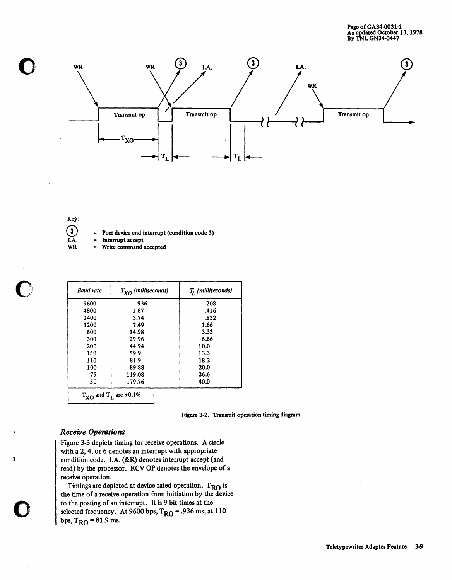Page of GA34-0031-1<br>As updated October 13, 1978<br>By TNL GN34-0447



Key:

o

- $\overline{3}$  = Post device end interrupt (condition code 3)<br>I.A. = Interrupt accept
- 
- $I.A.$  = Interrupt accept<br>WR = Write command  $=$  Write command accepted
	-

| <b>Baud rate</b> | $T_{XO}$ (milliseconds)              | $T_{I}$ (milliseconds) |
|------------------|--------------------------------------|------------------------|
| 9600             | .936                                 | .208                   |
| 4800             | 1.87                                 | .416                   |
| 2400             | 3.74                                 | .832                   |
| 1200             | 7.49                                 | 1.66                   |
| 600              | 14.98                                | 3.33                   |
| 300              | 29.96                                | 6.66                   |
| 200              | 44.94                                | 10.0                   |
| 150              | 59.9                                 | 13.3                   |
| 110              | 81.9                                 | 18.2                   |
| 100              | 89.88                                | 20.0                   |
| 75               | 119.08                               | 26.6                   |
| 50               | 179.76                               | 40.0                   |
|                  | $T_{XO}$ and $T_{L}$ are $\pm 0.1\%$ |                        |



#### *Receive Operations*

o

Figure 3-3 depicts timing for receive operations. A circle with a 2, 4, or 6 denotes an interrupt with appropriate condition code. I.A. (&R) denotes interrupt accept (and read) by the processor. ReV OP denotes the envelope of a receive operation.

Timings are depicted at device rated operation.  $T_{\rm RO}$  is the time of a receive operation from initiation by the device to the posting of an interrupt. It is 9 bit times at the selected frequency. At 9600 bps,  $T_{RO} = .936$  ms; at 110 bps,  $T_{RO} = 81.9$  ms.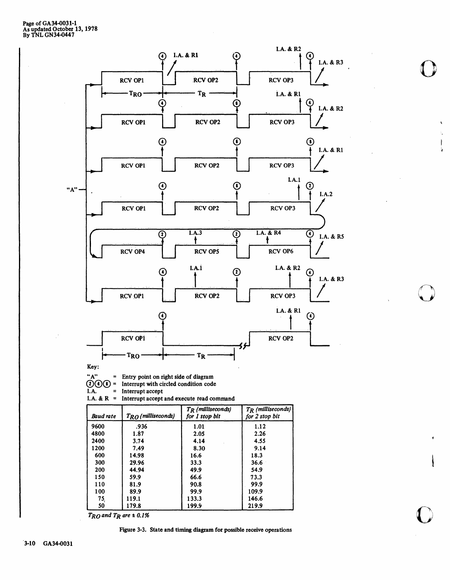

 $T_{RO}$  and  $T_R$  are  $\pm 0.1\%$ <br>
Figure 3.3. State and timing disgram for possible receive operations Figure 3-3. State and timing diagram for possible receive operations

100 89.9 99.9 109.9 75, 119.1 133.3 146.6 50 179.8 199.9 219.9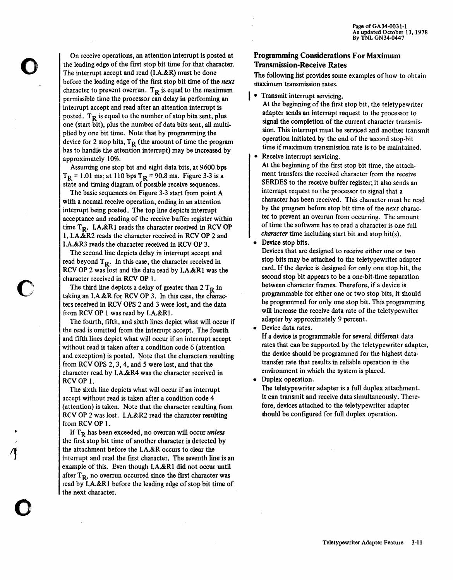On receive operations, an attention interrupt is posted at the leading edge of the first stop bit time for that character. The interrupt accept and read (I.A.&R) must be done before the leading edge of the first stop bit time of the *next*  character to prevent overrun.  $T_R$  is equal to the maximum permissible time the processor can delay in performing an interrupt accept and read after an attention interrupt is posted.  $T_R$  is equal to the number of stop bits sent, plus one (start bit), plus the number of data bits sent, all multiplied by one bit time. Note that by programming the device for 2 stop bits,  $T_R$  (the amount of time the program has to handle the attention interrupt) may be increased by approximately 10%.

o

c

o

Assuming one stop bit and eight data bits, at 9600 bps  $T_R = 1.01$  ms; at 110 bps  $T_R = 90.8$  ms. Figure 3-3 is a state and timing diagram of possible receive sequences.

The basic sequences on Figure 3-3 start from point A with a normal receive operation, ending in an attention interrupt being posted. The top line depicts interrupt acceptance and reading of the receive buffer register within time  $T<sub>R</sub>$ . I.A.&R1 reads the character received in RCV OP 1, I.A.&R2 reads the character received in RCV OP 2 and I.A.&R3 reads the character received in RCV OP 3.

The second line depicts delay in interrupt accept and read beyond  $T_R$ . In this case, the character received in RCV OP 2 was lost and the data read by I.A.&Rl was the character received in RCV OP 1.

The third line depicts a delay of greater than  $2 T<sub>R</sub>$  in taking an I.A.&R for RCV OP 3. In this case, the characters received in RCV OPS 2 and 3 were lost, and the data from RCV OP 1 was read by I.A.&Rl.

The fourth, fifth, and sixth lines depict what will occur if the read is omitted from the interrupt accept. The fourth and fifth lines depict what will occur if an interrupt accept without read is taken after a condition code 6 (attention and exception) is posted. Note that the characters resulting from RCV OPS 2, 3, 4, and 5 were lost, and that the character read by I.A.&R4 was the character received in RCVOP 1.

The sixth line depicts what will occur if an interrupt accept without read is taken after a condition code 4 (attention) is taken. Note that the character resulting from ReV OP 2 was lost. I.A.&R2 read the character resulting from RCV OP 1.

If T<sub>R</sub> has been exceeded, no overrun will occur *unless* the first stop bit time of another character is detected by the attachment before the I.A.&R occurs to clear the interrupt and read the first character. The seventh line is an example of this. Even though I.A.&Rl did not occur until after  $T_R$ , no overrun occurred since the first character was read by I.A.&Rl before the leading edge of stop bit time of the next character.

# Programming Considerations For Maximum Transmission-Receive Rates

The following list provides some examples of how to obtain maximum transmission rates.

• Transmit interrupt servicing.

At the beginning of the first stop bit, the teletypewriter adapter sends an interrupt request to the processor to signal the completion of the current character transmission. This interrupt must be serviced and another transmit operation initiated by the end of the second stop-bit time if maximum transmission rate is to be maintained.

Receive interrupt servicing.

At the beginning of the first stop bit time, the attachment transfers the received character from the receive SERDES to the receive buffer register; it also sends an interrupt request to the processor to signal that a character has been received. This character must be read by the program before stop bit time of the *next* character to prevent an overrun from occurring. The amount of time the software has to read a character is one full *character* time including start bit and stop bit(s).

Device stop bits.

Devices that are designed to receive either one or two stop bits may be attached to the teletypewriter adapter card. If the device is designed for only one stop bit, the second stop bit appears to be a one-bit-time separation between character frames. Therefore, if a device is programmable for either one or two stop bits, it should be programmed for only one stop bit. This programming will increase the receive data rate of the teletypewriter adapter by approximately 9 percent.

• Device data rates.

If a device is programmable for several different data rates that can be supported by the teletypewriter adapter, the device should be programmed for the highest datatransfer rate that results in reliable operation in the environment in which the system is placed.

• Duplex operation.

The teletypewriter adapter is a full duplex attachment. It can transmit and receive data simultaneously. Therefore, devices attached to the teletypewriter adapter should be configured for full duplex operation.